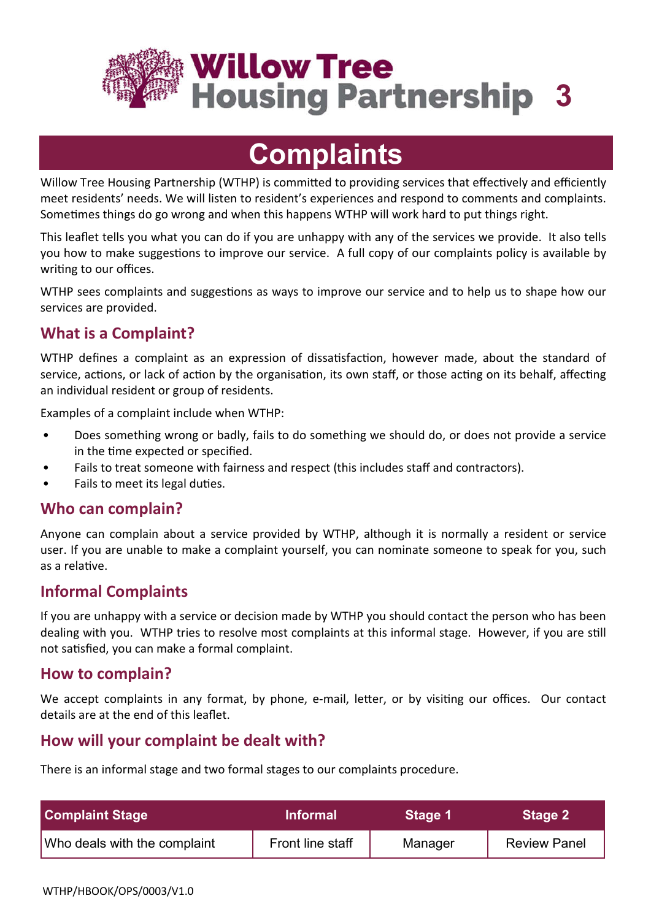

**Willow Tree Housing Partnership 3** 

# **Complaints**

Willow Tree Housing Partnership (WTHP) is committed to providing services that effectively and efficiently meet residents' needs. We will listen to resident's experiences and respond to comments and complaints. Sometimes things do go wrong and when this happens WTHP will work hard to put things right.

This leaflet tells you what you can do if you are unhappy with any of the services we provide. It also tells you how to make suggestions to improve our service. A full copy of our complaints policy is available by writing to our offices.

WTHP sees complaints and suggestions as ways to improve our service and to help us to shape how our services are provided.

# **What is a Complaint?**

WTHP defines a complaint as an expression of dissatisfaction, however made, about the standard of service, actions, or lack of action by the organisation, its own staff, or those acting on its behalf, affecting an individual resident or group of residents.

Examples of a complaint include when WTHP:

- Does something wrong or badly, fails to do something we should do, or does not provide a service in the time expected or specified.
- Fails to treat someone with fairness and respect (this includes staff and contractors).
- Fails to meet its legal duties.

## **Who can complain?**

Anyone can complain about a service provided by WTHP, although it is normally a resident or service user. If you are unable to make a complaint yourself, you can nominate someone to speak for you, such as a relative.

# **Informal Complaints**

If you are unhappy with a service or decision made by WTHP you should contact the person who has been dealing with you. WTHP tries to resolve most complaints at this informal stage. However, if you are still not satisfied, you can make a formal complaint.

## **How to complain?**

We accept complaints in any format, by phone, e-mail, letter, or by visiting our offices. Our contact details are at the end of this leaflet.

# **How will your complaint be dealt with?**

There is an informal stage and two formal stages to our complaints procedure.

| <b>Complaint Stage</b>       | <b>Informal</b>  | Stage 1 | Stage 2             |
|------------------------------|------------------|---------|---------------------|
| Who deals with the complaint | Front line staff | Manager | <b>Review Panel</b> |